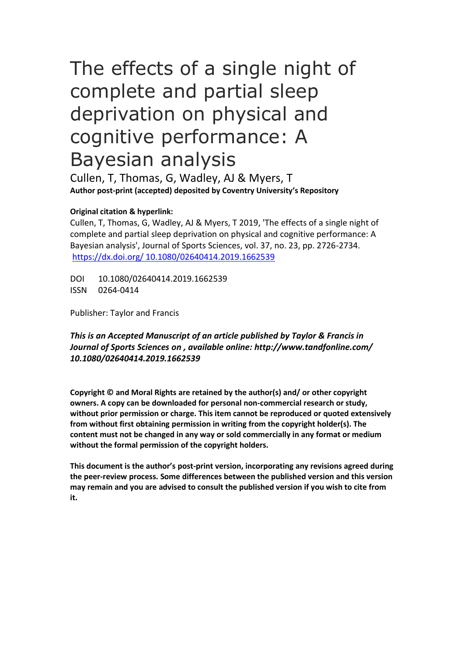# The effects of a single night of complete and partial sleep deprivation on physical and cognitive performance: A Bayesian analysis

Cullen, T, Thomas, G, Wadley, AJ & Myers, T **Author post-print (accepted) deposited by Coventry University's Repository**

#### **Original citation & hyperlink:**

Cullen, T, Thomas, G, Wadley, AJ & Myers, T 2019, 'The effects of a single night of complete and partial sleep deprivation on physical and cognitive performance: A Bayesian analysis', Journal of Sports Sciences, vol. 37, no. 23, pp. 2726-2734. [https://dx.doi.org/ 10.1080/02640414.2019.1662539](https://dx.doi.org/%5bDOI%5d)

DOI 10.1080/02640414.2019.1662539 ISSN 0264-0414

Publisher: Taylor and Francis

*This is an Accepted Manuscript of an article published by Taylor & Francis in Journal of Sports Sciences on , available online: http://www.tandfonline.com/ 10.1080/02640414.2019.1662539*

**Copyright © and Moral Rights are retained by the author(s) and/ or other copyright owners. A copy can be downloaded for personal non-commercial research or study, without prior permission or charge. This item cannot be reproduced or quoted extensively from without first obtaining permission in writing from the copyright holder(s). The content must not be changed in any way or sold commercially in any format or medium without the formal permission of the copyright holders.** 

**This document is the author's post-print version, incorporating any revisions agreed during the peer-review process. Some differences between the published version and this version may remain and you are advised to consult the published version if you wish to cite from it.**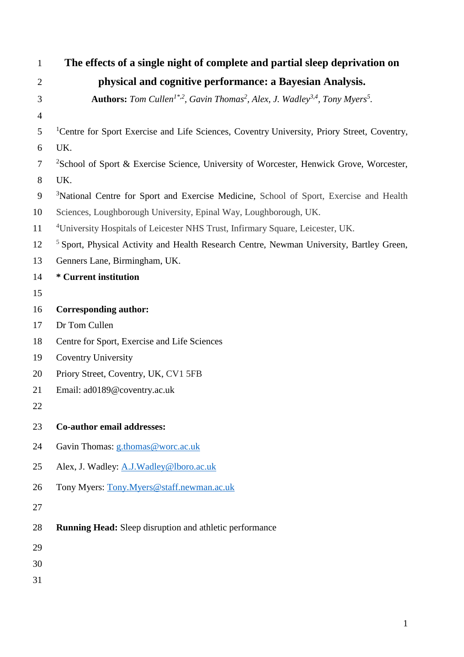| $\mathbf{1}$   | The effects of a single night of complete and partial sleep deprivation on                                                          |
|----------------|-------------------------------------------------------------------------------------------------------------------------------------|
| $\overline{2}$ | physical and cognitive performance: a Bayesian Analysis.                                                                            |
| 3              | <b>Authors:</b> Tom Cullen <sup>1*,2</sup> , Gavin Thomas <sup>2</sup> , Alex, J. Wadley <sup>3,4</sup> , Tony Myers <sup>5</sup> . |
| $\overline{4}$ |                                                                                                                                     |
| 5              | <sup>1</sup> Centre for Sport Exercise and Life Sciences, Coventry University, Priory Street, Coventry,                             |
| 6              | UK.                                                                                                                                 |
| 7              | <sup>2</sup> School of Sport & Exercise Science, University of Worcester, Henwick Grove, Worcester,                                 |
| 8              | UK.                                                                                                                                 |
| 9              | <sup>3</sup> National Centre for Sport and Exercise Medicine, School of Sport, Exercise and Health                                  |
| 10             | Sciences, Loughborough University, Epinal Way, Loughborough, UK.                                                                    |
| 11             | <sup>4</sup> University Hospitals of Leicester NHS Trust, Infirmary Square, Leicester, UK.                                          |
| 12             | <sup>5</sup> Sport, Physical Activity and Health Research Centre, Newman University, Bartley Green,                                 |
| 13             | Genners Lane, Birmingham, UK.                                                                                                       |
| 14             | * Current institution                                                                                                               |
| 15             |                                                                                                                                     |
| 16             | <b>Corresponding author:</b>                                                                                                        |
| 17             | Dr Tom Cullen                                                                                                                       |
| 18             | Centre for Sport, Exercise and Life Sciences                                                                                        |
| 19             | <b>Coventry University</b>                                                                                                          |
| 20             | Priory Street, Coventry, UK, CV1 5FB                                                                                                |
| 21             | Email: ad0189@coventry.ac.uk                                                                                                        |
| 22             |                                                                                                                                     |
| 23             | Co-author email addresses:                                                                                                          |
| 24             | Gavin Thomas: g.thomas@worc.ac.uk                                                                                                   |
| 25             | Alex, J. Wadley: A.J.Wadley@lboro.ac.uk                                                                                             |
| 26             | Tony Myers: Tony. Myers@staff.newman.ac.uk                                                                                          |
| 27             |                                                                                                                                     |
| 28             | <b>Running Head:</b> Sleep disruption and athletic performance                                                                      |
| 29             |                                                                                                                                     |
| 30             |                                                                                                                                     |
| 31             |                                                                                                                                     |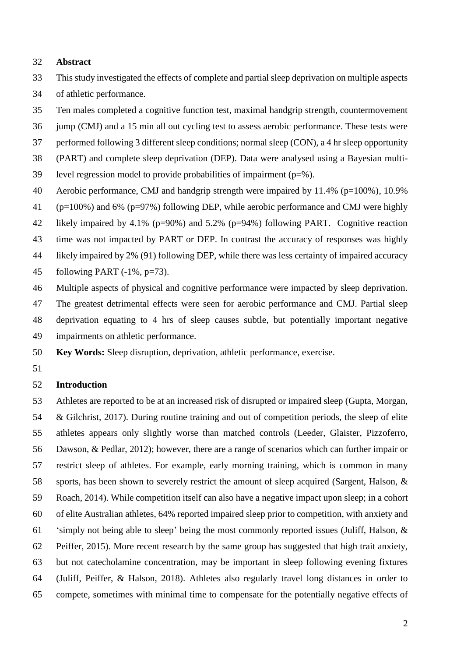#### **Abstract**

- This study investigated the effects of complete and partial sleep deprivation on multiple aspects
- of athletic performance.
- Ten males completed a cognitive function test, maximal handgrip strength, countermovement
- jump (CMJ) and a 15 min all out cycling test to assess aerobic performance. These tests were performed following 3 different sleep conditions; normal sleep (CON), a 4 hr sleep opportunity
- (PART) and complete sleep deprivation (DEP). Data were analysed using a Bayesian multi-
- 39 level regression model to provide probabilities of impairment  $(p=\%)$ .
- Aerobic performance, CMJ and handgrip strength were impaired by 11.4% (p=100%), 10.9%
- (p=100%) and 6% (p=97%) following DEP, while aerobic performance and CMJ were highly
- likely impaired by 4.1% (p=90%) and 5.2% (p=94%) following PART. Cognitive reaction
- time was not impacted by PART or DEP. In contrast the accuracy of responses was highly
- likely impaired by 2% (91) following DEP, while there was less certainty of impaired accuracy
- 45 following PART  $(-1\%, p=73)$ .
- Multiple aspects of physical and cognitive performance were impacted by sleep deprivation. The greatest detrimental effects were seen for aerobic performance and CMJ. Partial sleep deprivation equating to 4 hrs of sleep causes subtle, but potentially important negative impairments on athletic performance.
- **Key Words:** Sleep disruption, deprivation, athletic performance, exercise.
- 

#### **Introduction**

 Athletes are reported to be at an increased risk of disrupted or impaired sleep (Gupta, Morgan, & Gilchrist, 2017). During routine training and out of competition periods, the sleep of elite athletes appears only slightly worse than matched controls (Leeder, Glaister, Pizzoferro, Dawson, & Pedlar, 2012); however, there are a range of scenarios which can further impair or restrict sleep of athletes. For example, early morning training, which is common in many sports, has been shown to severely restrict the amount of sleep acquired (Sargent, Halson, & Roach, 2014). While competition itself can also have a negative impact upon sleep; in a cohort of elite Australian athletes, 64% reported impaired sleep prior to competition, with anxiety and 'simply not being able to sleep' being the most commonly reported issues (Juliff, Halson, & Peiffer, 2015). More recent research by the same group has suggested that high trait anxiety, but not catecholamine concentration, may be important in sleep following evening fixtures (Juliff, Peiffer, & Halson, 2018). Athletes also regularly travel long distances in order to compete, sometimes with minimal time to compensate for the potentially negative effects of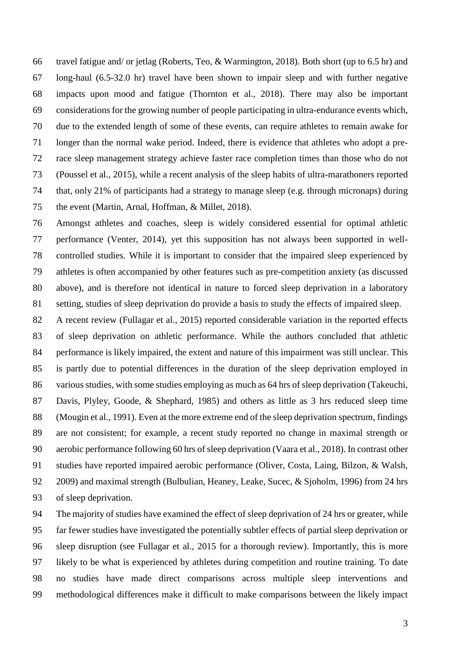travel fatigue and/ or jetlag (Roberts, Teo, & Warmington, 2018). Both short (up to 6.5 hr) and long-haul (6.5-32.0 hr) travel have been shown to impair sleep and with further negative impacts upon mood and fatigue (Thornton et al., 2018). There may also be important considerations for the growing number of people participating in ultra-endurance events which, due to the extended length of some of these events, can require athletes to remain awake for longer than the normal wake period. Indeed, there is evidence that athletes who adopt a pre- race sleep management strategy achieve faster race completion times than those who do not (Poussel et al., 2015), while a recent analysis of the sleep habits of ultra-marathoners reported that, only 21% of participants had a strategy to manage sleep (e.g. through micronaps) during the event (Martin, Arnal, Hoffman, & Millet, 2018).

 Amongst athletes and coaches, sleep is widely considered essential for optimal athletic performance (Venter, 2014), yet this supposition has not always been supported in well- controlled studies. While it is important to consider that the impaired sleep experienced by athletes is often accompanied by other features such as pre-competition anxiety (as discussed above), and is therefore not identical in nature to forced sleep deprivation in a laboratory setting, studies of sleep deprivation do provide a basis to study the effects of impaired sleep.

 A recent review (Fullagar et al., 2015) reported considerable variation in the reported effects of sleep deprivation on athletic performance. While the authors concluded that athletic performance is likely impaired, the extent and nature of this impairment was still unclear. This is partly due to potential differences in the duration of the sleep deprivation employed in various studies, with some studies employing as much as 64 hrs of sleep deprivation (Takeuchi, Davis, Plyley, Goode, & Shephard, 1985) and others as little as 3 hrs reduced sleep time (Mougin et al., 1991). Even at the more extreme end of the sleep deprivation spectrum, findings are not consistent; for example, a recent study reported no change in maximal strength or aerobic performance following 60 hrs of sleep deprivation (Vaara et al., 2018). In contrast other studies have reported impaired aerobic performance (Oliver, Costa, Laing, Bilzon, & Walsh, 2009) and maximal strength (Bulbulian, Heaney, Leake, Sucec, & Sjoholm, 1996) from 24 hrs of sleep deprivation.

 The majority of studies have examined the effect of sleep deprivation of 24 hrs or greater, while far fewer studies have investigated the potentially subtler effects of partial sleep deprivation or sleep disruption (see Fullagar et al., 2015 for a thorough review). Importantly, this is more likely to be what is experienced by athletes during competition and routine training. To date no studies have made direct comparisons across multiple sleep interventions and methodological differences make it difficult to make comparisons between the likely impact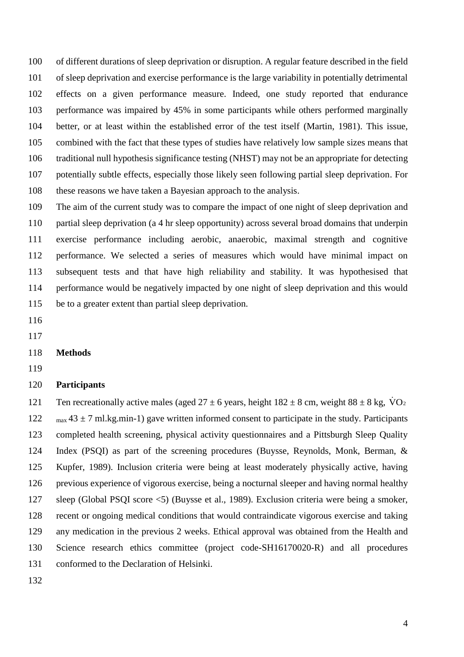of different durations of sleep deprivation or disruption. A regular feature described in the field of sleep deprivation and exercise performance is the large variability in potentially detrimental effects on a given performance measure. Indeed, one study reported that endurance performance was impaired by 45% in some participants while others performed marginally better, or at least within the established error of the test itself (Martin, 1981). This issue, combined with the fact that these types of studies have relatively low sample sizes means that traditional null hypothesis significance testing (NHST) may not be an appropriate for detecting potentially subtle effects, especially those likely seen following partial sleep deprivation. For these reasons we have taken a Bayesian approach to the analysis.

 The aim of the current study was to compare the impact of one night of sleep deprivation and partial sleep deprivation (a 4 hr sleep opportunity) across several broad domains that underpin exercise performance including aerobic, anaerobic, maximal strength and cognitive performance. We selected a series of measures which would have minimal impact on subsequent tests and that have high reliability and stability. It was hypothesised that performance would be negatively impacted by one night of sleep deprivation and this would be to a greater extent than partial sleep deprivation.

- 
- 

#### **Methods**

#### **Participants**

121 Ten recreationally active males (aged  $27 \pm 6$  years, height  $182 \pm 8$  cm, weight  $88 \pm 8$  kg,  $\dot{V}O_2$  $\text{max } 43 \pm 7 \text{ ml}$ .kg.min-1) gave written informed consent to participate in the study. Participants completed health screening, physical activity questionnaires and a Pittsburgh Sleep Quality Index (PSQI) as part of the screening procedures (Buysse, Reynolds, Monk, Berman, & Kupfer, 1989). Inclusion criteria were being at least moderately physically active, having previous experience of vigorous exercise, being a nocturnal sleeper and having normal healthy sleep (Global PSQI score <5) (Buysse et al., 1989). Exclusion criteria were being a smoker, recent or ongoing medical conditions that would contraindicate vigorous exercise and taking any medication in the previous 2 weeks. Ethical approval was obtained from the Health and Science research ethics committee (project code-SH16170020-R) and all procedures conformed to the Declaration of Helsinki.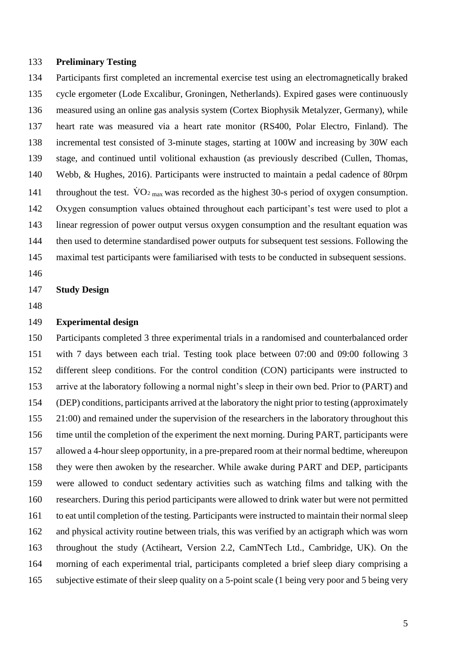#### **Preliminary Testing**

 Participants first completed an incremental exercise test using an electromagnetically braked cycle ergometer (Lode Excalibur, Groningen, Netherlands). Expired gases were continuously measured using an online gas analysis system (Cortex Biophysik Metalyzer, Germany), while heart rate was measured via a heart rate monitor (RS400, Polar Electro, Finland). The incremental test consisted of 3-minute stages, starting at 100W and increasing by 30W each stage, and continued until volitional exhaustion (as previously described (Cullen, Thomas, Webb, & Hughes, 2016). Participants were instructed to maintain a pedal cadence of 80rpm 141 throughout the test.  $\rm \dot{V}O_2$ <sub>max</sub> was recorded as the highest 30-s period of oxygen consumption. Oxygen consumption values obtained throughout each participant's test were used to plot a linear regression of power output versus oxygen consumption and the resultant equation was then used to determine standardised power outputs for subsequent test sessions. Following the maximal test participants were familiarised with tests to be conducted in subsequent sessions.

**Study Design**

#### **Experimental design**

 Participants completed 3 three experimental trials in a randomised and counterbalanced order with 7 days between each trial. Testing took place between 07:00 and 09:00 following 3 different sleep conditions. For the control condition (CON) participants were instructed to arrive at the laboratory following a normal night's sleep in their own bed. Prior to (PART) and (DEP) conditions, participants arrived at the laboratory the night prior to testing (approximately 155 21:00) and remained under the supervision of the researchers in the laboratory throughout this time until the completion of the experiment the next morning. During PART, participants were allowed a 4-hour sleep opportunity, in a pre-prepared room at their normal bedtime, whereupon they were then awoken by the researcher. While awake during PART and DEP, participants were allowed to conduct sedentary activities such as watching films and talking with the researchers. During this period participants were allowed to drink water but were not permitted to eat until completion of the testing. Participants were instructed to maintain their normal sleep and physical activity routine between trials, this was verified by an actigraph which was worn throughout the study (Actiheart, Version 2.2, CamNTech Ltd., Cambridge, UK). On the morning of each experimental trial, participants completed a brief sleep diary comprising a subjective estimate of their sleep quality on a 5-point scale (1 being very poor and 5 being very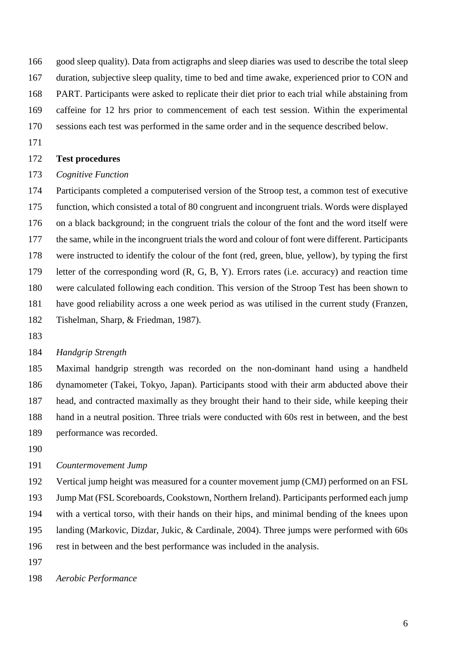good sleep quality). Data from actigraphs and sleep diaries was used to describe the total sleep duration, subjective sleep quality, time to bed and time awake, experienced prior to CON and PART. Participants were asked to replicate their diet prior to each trial while abstaining from caffeine for 12 hrs prior to commencement of each test session. Within the experimental

- sessions each test was performed in the same order and in the sequence described below.
- 

#### **Test procedures**

#### *Cognitive Function*

 Participants completed a computerised version of the Stroop test, a common test of executive function, which consisted a total of 80 congruent and incongruent trials. Words were displayed on a black background; in the congruent trials the colour of the font and the word itself were the same, while in the incongruent trials the word and colour of font were different. Participants were instructed to identify the colour of the font (red, green, blue, yellow), by typing the first letter of the corresponding word (R, G, B, Y). Errors rates (i.e. accuracy) and reaction time were calculated following each condition. This version of the Stroop Test has been shown to have good reliability across a one week period as was utilised in the current study (Franzen, Tishelman, Sharp, & Friedman, 1987).

#### *Handgrip Strength*

 Maximal handgrip strength was recorded on the non-dominant hand using a handheld dynamometer (Takei, Tokyo, Japan). Participants stood with their arm abducted above their head, and contracted maximally as they brought their hand to their side, while keeping their hand in a neutral position. Three trials were conducted with 60s rest in between, and the best performance was recorded.

#### *Countermovement Jump*

 Vertical jump height was measured for a counter movement jump (CMJ) performed on an FSL Jump Mat (FSL Scoreboards, Cookstown, Northern Ireland). Participants performed each jump with a vertical torso, with their hands on their hips, and minimal bending of the knees upon landing (Markovic, Dizdar, Jukic, & Cardinale, 2004). Three jumps were performed with 60s rest in between and the best performance was included in the analysis.

*Aerobic Performance*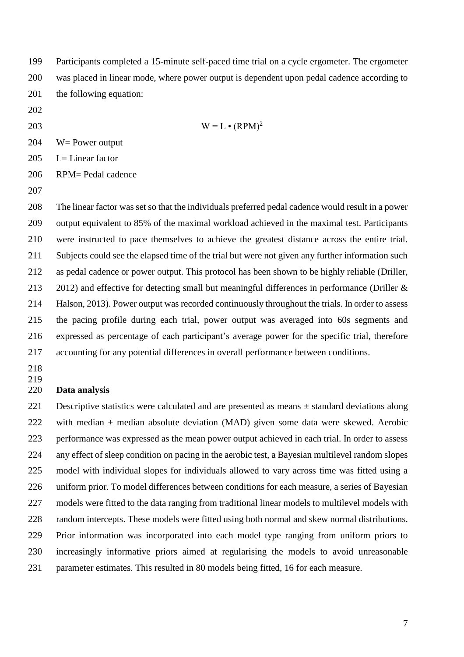Participants completed a 15-minute self-paced time trial on a cycle ergometer. The ergometer was placed in linear mode, where power output is dependent upon pedal cadence according to the following equation:

- 
- 

 $W = L \cdot (RPM)^2$ 

W= Power output

L= Linear factor

RPM= Pedal cadence

 The linear factor was set so that the individuals preferred pedal cadence would result in a power output equivalent to 85% of the maximal workload achieved in the maximal test. Participants were instructed to pace themselves to achieve the greatest distance across the entire trial. Subjects could see the elapsed time of the trial but were not given any further information such as pedal cadence or power output. This protocol has been shown to be highly reliable (Driller, 213 2012) and effective for detecting small but meaningful differences in performance (Driller & Halson, 2013). Power output was recorded continuously throughout the trials. In order to assess the pacing profile during each trial, power output was averaged into 60s segments and expressed as percentage of each participant's average power for the specific trial, therefore accounting for any potential differences in overall performance between conditions.

 

#### **Data analysis**

 Descriptive statistics were calculated and are presented as means ± standard deviations along 222 with median  $\pm$  median absolute deviation (MAD) given some data were skewed. Aerobic performance was expressed as the mean power output achieved in each trial. In order to assess any effect of sleep condition on pacing in the aerobic test, a Bayesian multilevel random slopes model with individual slopes for individuals allowed to vary across time was fitted using a uniform prior. To model differences between conditions for each measure, a series of Bayesian models were fitted to the data ranging from traditional linear models to multilevel models with random intercepts. These models were fitted using both normal and skew normal distributions. Prior information was incorporated into each model type ranging from uniform priors to increasingly informative priors aimed at regularising the models to avoid unreasonable parameter estimates. This resulted in 80 models being fitted, 16 for each measure.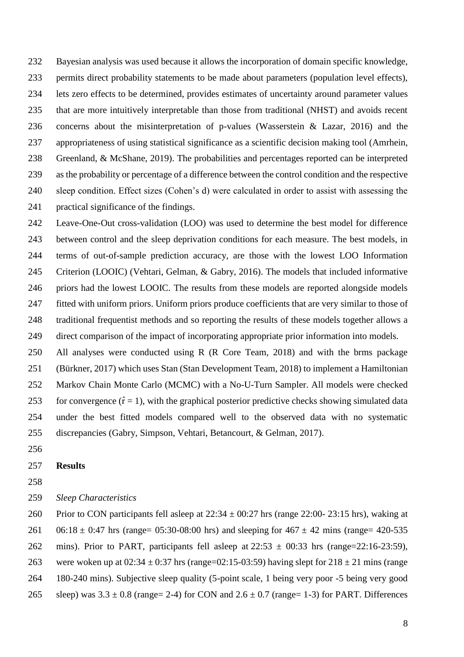Bayesian analysis was used because it allows the incorporation of domain specific knowledge, permits direct probability statements to be made about parameters (population level effects), lets zero effects to be determined, provides estimates of uncertainty around parameter values that are more intuitively interpretable than those from traditional (NHST) and avoids recent concerns about the misinterpretation of p-values (Wasserstein & Lazar, 2016) and the appropriateness of using statistical significance as a scientific decision making tool (Amrhein, Greenland, & McShane, 2019). The probabilities and percentages reported can be interpreted as the probability or percentage of a difference between the control condition and the respective sleep condition. Effect sizes (Cohen's d) were calculated in order to assist with assessing the practical significance of the findings.

 Leave-One-Out cross-validation (LOO) was used to determine the best model for difference between control and the sleep deprivation conditions for each measure. The best models, in terms of out-of-sample prediction accuracy, are those with the lowest LOO Information Criterion (LOOIC) (Vehtari, Gelman, & Gabry, 2016). The models that included informative priors had the lowest LOOIC. The results from these models are reported alongside models fitted with uniform priors. Uniform priors produce coefficients that are very similar to those of traditional frequentist methods and so reporting the results of these models together allows a direct comparison of the impact of incorporating appropriate prior information into models.

 All analyses were conducted using R (R Core Team, 2018) and with the brms package (Bürkner, 2017) which uses Stan (Stan Development Team, 2018) to implement a Hamiltonian Markov Chain Monte Carlo (MCMC) with a No-U-Turn Sampler. All models were checked 253 for convergence  $(\hat{r} = 1)$ , with the graphical posterior predictive checks showing simulated data under the best fitted models compared well to the observed data with no systematic discrepancies (Gabry, Simpson, Vehtari, Betancourt, & Gelman, 2017).

#### **Results**

*Sleep Characteristics*

260 Prior to CON participants fell asleep at  $22:34 \pm 00:27$  hrs (range 22:00-23:15 hrs), waking at 261 06:18  $\pm$  0:47 hrs (range= 05:30-08:00 hrs) and sleeping for 467  $\pm$  42 mins (range= 420-535 262 mins). Prior to PART, participants fell asleep at  $22:53 \pm 00:33$  hrs (range=22:16-23:59), 263 were woken up at  $02:34 \pm 0.37$  hrs (range=02:15-03:59) having slept for  $218 \pm 21$  mins (range 180-240 mins). Subjective sleep quality (5-point scale, 1 being very poor -5 being very good 265 sleep) was  $3.3 \pm 0.8$  (range= 2-4) for CON and  $2.6 \pm 0.7$  (range= 1-3) for PART. Differences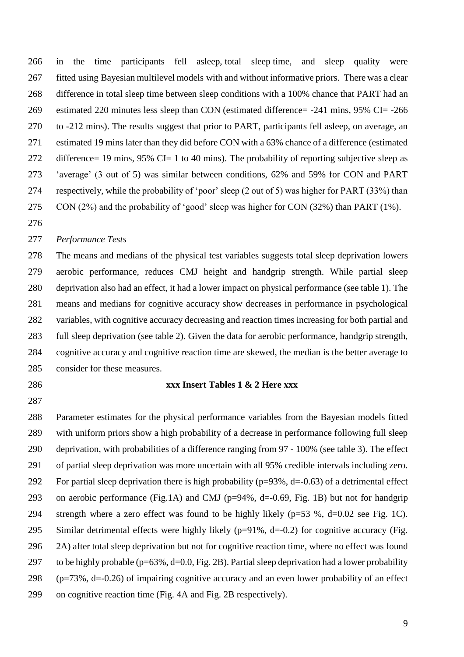in the time participants fell asleep, total sleep time, and sleep quality were fitted using Bayesian multilevel models with and without informative priors. There was a clear difference in total sleep time between sleep conditions with a 100% chance that PART had an estimated 220 minutes less sleep than CON (estimated difference= -241 mins, 95% CI= -266 to -212 mins). The results suggest that prior to PART, participants fell asleep, on average, an estimated 19 mins later than they did before CON with a 63% chance of a difference (estimated 272 difference= 19 mins, 95% CI= 1 to 40 mins). The probability of reporting subjective sleep as 'average' (3 out of 5) was similar between conditions, 62% and 59% for CON and PART respectively, while the probability of 'poor' sleep (2 out of 5) was higher for PART (33%) than CON (2%) and the probability of 'good' sleep was higher for CON (32%) than PART (1%).

#### *Performance Tests*

 The means and medians of the physical test variables suggests total sleep deprivation lowers aerobic performance, reduces CMJ height and handgrip strength. While partial sleep deprivation also had an effect, it had a lower impact on physical performance (see table 1). The means and medians for cognitive accuracy show decreases in performance in psychological variables, with cognitive accuracy decreasing and reaction times increasing for both partial and full sleep deprivation (see table 2). Given the data for aerobic performance, handgrip strength, cognitive accuracy and cognitive reaction time are skewed, the median is the better average to consider for these measures.

- 
- 

#### **xxx Insert Tables 1 & 2 Here xxx**

 Parameter estimates for the physical performance variables from the Bayesian models fitted with uniform priors show a high probability of a decrease in performance following full sleep deprivation, with probabilities of a difference ranging from 97 - 100% (see table 3). The effect of partial sleep deprivation was more uncertain with all 95% credible intervals including zero. 292 For partial sleep deprivation there is high probability ( $p=93\%$ , d=-0.63) of a detrimental effect on aerobic performance (Fig.1A) and CMJ (p=94%, d=-0.69, Fig. 1B) but not for handgrip strength where a zero effect was found to be highly likely (p=53 %, d=0.02 see Fig. 1C). Similar detrimental effects were highly likely (p=91%, d=-0.2) for cognitive accuracy (Fig. 2A) after total sleep deprivation but not for cognitive reaction time, where no effect was found 297 to be highly probable ( $p=63\%$ ,  $d=0.0$ , Fig. 2B). Partial sleep deprivation had a lower probability (p=73%, d=-0.26) of impairing cognitive accuracy and an even lower probability of an effect on cognitive reaction time (Fig. 4A and Fig. 2B respectively).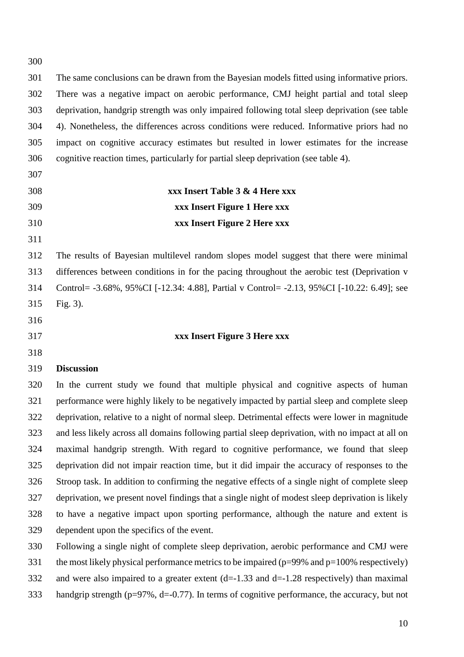| 300 |                                                                                                    |
|-----|----------------------------------------------------------------------------------------------------|
| 301 | The same conclusions can be drawn from the Bayesian models fitted using informative priors.        |
| 302 | There was a negative impact on aerobic performance, CMJ height partial and total sleep             |
| 303 | deprivation, handgrip strength was only impaired following total sleep deprivation (see table      |
| 304 | 4). Nonetheless, the differences across conditions were reduced. Informative priors had no         |
| 305 | impact on cognitive accuracy estimates but resulted in lower estimates for the increase            |
| 306 | cognitive reaction times, particularly for partial sleep deprivation (see table 4).                |
| 307 |                                                                                                    |
| 308 | xxx Insert Table 3 & 4 Here xxx                                                                    |
| 309 | xxx Insert Figure 1 Here xxx                                                                       |
| 310 | xxx Insert Figure 2 Here xxx                                                                       |
| 311 |                                                                                                    |
| 312 | The results of Bayesian multilevel random slopes model suggest that there were minimal             |
| 313 | differences between conditions in for the pacing throughout the aerobic test (Deprivation v        |
| 314 | Control= -3.68%, 95%CI [-12.34: 4.88], Partial v Control= -2.13, 95%CI [-10.22: 6.49]; see         |
| 315 | Fig. 3).                                                                                           |
| 316 |                                                                                                    |
| 317 | xxx Insert Figure 3 Here xxx                                                                       |
| 318 |                                                                                                    |
| 319 | <b>Discussion</b>                                                                                  |
| 320 | In the current study we found that multiple physical and cognitive aspects of human                |
| 321 | performance were highly likely to be negatively impacted by partial sleep and complete sleep       |
| 322 | deprivation, relative to a night of normal sleep. Detrimental effects were lower in magnitude      |
| 323 | and less likely across all domains following partial sleep deprivation, with no impact at all on   |
| 324 | maximal handgrip strength. With regard to cognitive performance, we found that sleep               |
| 325 | deprivation did not impair reaction time, but it did impair the accuracy of responses to the       |
| 326 | Stroop task. In addition to confirming the negative effects of a single night of complete sleep    |
| 327 | deprivation, we present novel findings that a single night of modest sleep deprivation is likely   |
| 328 | to have a negative impact upon sporting performance, although the nature and extent is             |
| 329 | dependent upon the specifics of the event.                                                         |
| 330 | Following a single night of complete sleep deprivation, aerobic performance and CMJ were           |
| 331 | the most likely physical performance metrics to be impaired ( $p=99\%$ and $p=100\%$ respectively) |
| 332 | and were also impaired to a greater extent $(d=1.33$ and $d=1.28$ respectively) than maximal       |

handgrip strength (p=97%, d=-0.77). In terms of cognitive performance, the accuracy, but not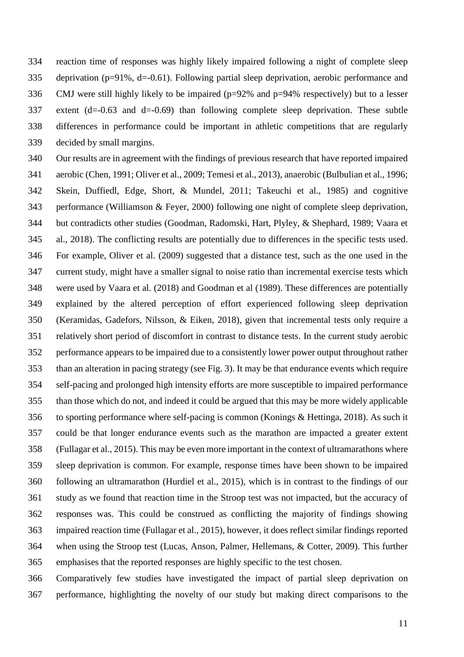reaction time of responses was highly likely impaired following a night of complete sleep deprivation (p=91%, d=-0.61). Following partial sleep deprivation, aerobic performance and 336 CMJ were still highly likely to be impaired ( $p=92\%$  and  $p=94\%$  respectively) but to a lesser 337 extent  $(d=0.63$  and  $d=0.69$ ) than following complete sleep deprivation. These subtle differences in performance could be important in athletic competitions that are regularly decided by small margins.

 Our results are in agreement with the findings of previous research that have reported impaired aerobic (Chen, 1991; Oliver et al., 2009; Temesi et al., 2013), anaerobic (Bulbulian et al., 1996; Skein, Duffiedl, Edge, Short, & Mundel, 2011; Takeuchi et al., 1985) and cognitive performance (Williamson & Feyer, 2000) following one night of complete sleep deprivation, but contradicts other studies (Goodman, Radomski, Hart, Plyley, & Shephard, 1989; Vaara et al., 2018). The conflicting results are potentially due to differences in the specific tests used. For example, Oliver et al. (2009) suggested that a distance test, such as the one used in the current study, might have a smaller signal to noise ratio than incremental exercise tests which were used by Vaara et al. (2018) and Goodman et al (1989). These differences are potentially explained by the altered perception of effort experienced following sleep deprivation (Keramidas, Gadefors, Nilsson, & Eiken, 2018), given that incremental tests only require a relatively short period of discomfort in contrast to distance tests. In the current study aerobic performance appears to be impaired due to a consistently lower power output throughout rather than an alteration in pacing strategy (see Fig. 3). It may be that endurance events which require self-pacing and prolonged high intensity efforts are more susceptible to impaired performance than those which do not, and indeed it could be argued that this may be more widely applicable to sporting performance where self-pacing is common (Konings & Hettinga, 2018). As such it could be that longer endurance events such as the marathon are impacted a greater extent (Fullagar et al., 2015). This may be even more important in the context of ultramarathons where sleep deprivation is common. For example, response times have been shown to be impaired following an ultramarathon (Hurdiel et al., 2015), which is in contrast to the findings of our study as we found that reaction time in the Stroop test was not impacted, but the accuracy of responses was. This could be construed as conflicting the majority of findings showing impaired reaction time (Fullagar et al., 2015), however, it does reflect similar findings reported when using the Stroop test (Lucas, Anson, Palmer, Hellemans, & Cotter, 2009). This further emphasises that the reported responses are highly specific to the test chosen.

 Comparatively few studies have investigated the impact of partial sleep deprivation on performance, highlighting the novelty of our study but making direct comparisons to the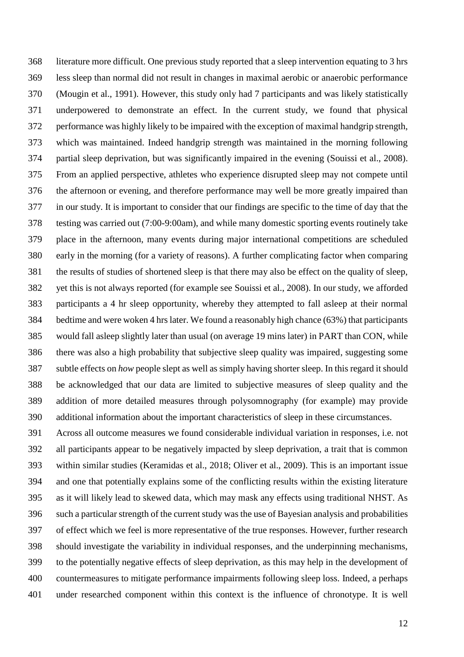literature more difficult. One previous study reported that a sleep intervention equating to 3 hrs less sleep than normal did not result in changes in maximal aerobic or anaerobic performance (Mougin et al., 1991). However, this study only had 7 participants and was likely statistically underpowered to demonstrate an effect. In the current study, we found that physical performance was highly likely to be impaired with the exception of maximal handgrip strength, which was maintained. Indeed handgrip strength was maintained in the morning following partial sleep deprivation, but was significantly impaired in the evening (Souissi et al., 2008). From an applied perspective, athletes who experience disrupted sleep may not compete until the afternoon or evening, and therefore performance may well be more greatly impaired than in our study. It is important to consider that our findings are specific to the time of day that the testing was carried out (7:00-9:00am), and while many domestic sporting events routinely take place in the afternoon, many events during major international competitions are scheduled early in the morning (for a variety of reasons). A further complicating factor when comparing the results of studies of shortened sleep is that there may also be effect on the quality of sleep, yet this is not always reported (for example see Souissi et al., 2008). In our study, we afforded participants a 4 hr sleep opportunity, whereby they attempted to fall asleep at their normal bedtime and were woken 4 hrs later. We found a reasonably high chance (63%) that participants would fall asleep slightly later than usual (on average 19 mins later) in PART than CON, while there was also a high probability that subjective sleep quality was impaired, suggesting some subtle effects on *how* people slept as well as simply having shorter sleep. In this regard it should be acknowledged that our data are limited to subjective measures of sleep quality and the addition of more detailed measures through polysomnography (for example) may provide additional information about the important characteristics of sleep in these circumstances.

 Across all outcome measures we found considerable individual variation in responses, i.e. not all participants appear to be negatively impacted by sleep deprivation, a trait that is common within similar studies (Keramidas et al., 2018; Oliver et al., 2009). This is an important issue and one that potentially explains some of the conflicting results within the existing literature as it will likely lead to skewed data, which may mask any effects using traditional NHST. As such a particular strength of the current study was the use of Bayesian analysis and probabilities of effect which we feel is more representative of the true responses. However, further research should investigate the variability in individual responses, and the underpinning mechanisms, to the potentially negative effects of sleep deprivation, as this may help in the development of countermeasures to mitigate performance impairments following sleep loss. Indeed, a perhaps under researched component within this context is the influence of chronotype. It is well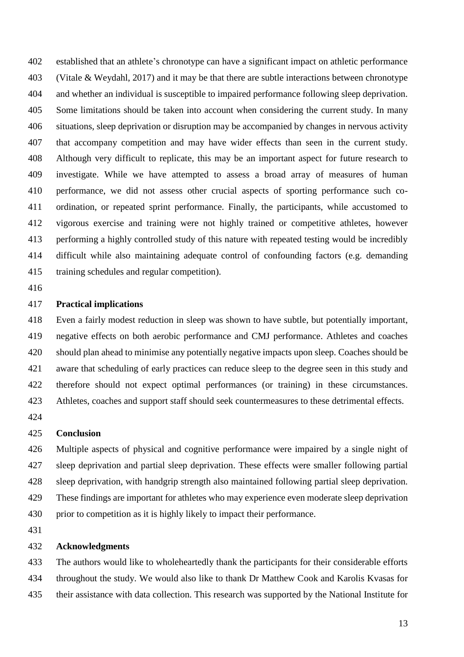established that an athlete's chronotype can have a significant impact on athletic performance (Vitale & Weydahl, 2017) and it may be that there are subtle interactions between chronotype and whether an individual is susceptible to impaired performance following sleep deprivation. Some limitations should be taken into account when considering the current study. In many situations, sleep deprivation or disruption may be accompanied by changes in nervous activity that accompany competition and may have wider effects than seen in the current study. Although very difficult to replicate, this may be an important aspect for future research to investigate. While we have attempted to assess a broad array of measures of human performance, we did not assess other crucial aspects of sporting performance such co- ordination, or repeated sprint performance. Finally, the participants, while accustomed to vigorous exercise and training were not highly trained or competitive athletes, however performing a highly controlled study of this nature with repeated testing would be incredibly difficult while also maintaining adequate control of confounding factors (e.g. demanding training schedules and regular competition).

#### **Practical implications**

 Even a fairly modest reduction in sleep was shown to have subtle, but potentially important, negative effects on both aerobic performance and CMJ performance. Athletes and coaches should plan ahead to minimise any potentially negative impacts upon sleep. Coaches should be aware that scheduling of early practices can reduce sleep to the degree seen in this study and therefore should not expect optimal performances (or training) in these circumstances. Athletes, coaches and support staff should seek countermeasures to these detrimental effects.

#### **Conclusion**

 Multiple aspects of physical and cognitive performance were impaired by a single night of sleep deprivation and partial sleep deprivation. These effects were smaller following partial sleep deprivation, with handgrip strength also maintained following partial sleep deprivation. These findings are important for athletes who may experience even moderate sleep deprivation prior to competition as it is highly likely to impact their performance.

#### **Acknowledgments**

 The authors would like to wholeheartedly thank the participants for their considerable efforts throughout the study. We would also like to thank Dr Matthew Cook and Karolis Kvasas for their assistance with data collection. This research was supported by the National Institute for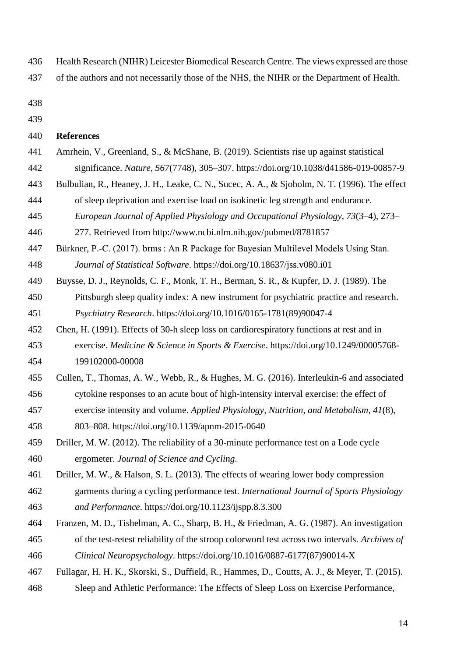Health Research (NIHR) Leicester Biomedical Research Centre. The views expressed are those

- of the authors and not necessarily those of the NHS, the NIHR or the Department of Health.
- 
- 

#### **References**

- Amrhein, V., Greenland, S., & McShane, B. (2019). Scientists rise up against statistical significance. *Nature*, *567*(7748), 305–307. https://doi.org/10.1038/d41586-019-00857-9 Bulbulian, R., Heaney, J. H., Leake, C. N., Sucec, A. A., & Sjoholm, N. T. (1996). The effect
- of sleep deprivation and exercise load on isokinetic leg strength and endurance.
- *European Journal of Applied Physiology and Occupational Physiology*, *73*(3–4), 273–
- 277. Retrieved from http://www.ncbi.nlm.nih.gov/pubmed/8781857
- Bürkner, P.-C. (2017). brms : An R Package for Bayesian Multilevel Models Using Stan. *Journal of Statistical Software*. https://doi.org/10.18637/jss.v080.i01
- Buysse, D. J., Reynolds, C. F., Monk, T. H., Berman, S. R., & Kupfer, D. J. (1989). The
- Pittsburgh sleep quality index: A new instrument for psychiatric practice and research. *Psychiatry Research*. https://doi.org/10.1016/0165-1781(89)90047-4
- Chen, H. (1991). Effects of 30-h sleep loss on cardiorespiratory functions at rest and in
- exercise. *Medicine & Science in Sports & Exercise*. https://doi.org/10.1249/00005768- 199102000-00008
- Cullen, T., Thomas, A. W., Webb, R., & Hughes, M. G. (2016). Interleukin-6 and associated
- cytokine responses to an acute bout of high-intensity interval exercise: the effect of
- exercise intensity and volume. *Applied Physiology, Nutrition, and Metabolism*, *41*(8),
- 803–808. https://doi.org/10.1139/apnm-2015-0640
- Driller, M. W. (2012). The reliability of a 30-minute performance test on a Lode cycle ergometer. *Journal of Science and Cycling*.
- Driller, M. W., & Halson, S. L. (2013). The effects of wearing lower body compression
- garments during a cycling performance test. *International Journal of Sports Physiology and Performance*. https://doi.org/10.1123/ijspp.8.3.300
- Franzen, M. D., Tishelman, A. C., Sharp, B. H., & Friedman, A. G. (1987). An investigation of the test-retest reliability of the stroop colorword test across two intervals. *Archives of Clinical Neuropsychology*. https://doi.org/10.1016/0887-6177(87)90014-X
- Fullagar, H. H. K., Skorski, S., Duffield, R., Hammes, D., Coutts, A. J., & Meyer, T. (2015).
- Sleep and Athletic Performance: The Effects of Sleep Loss on Exercise Performance,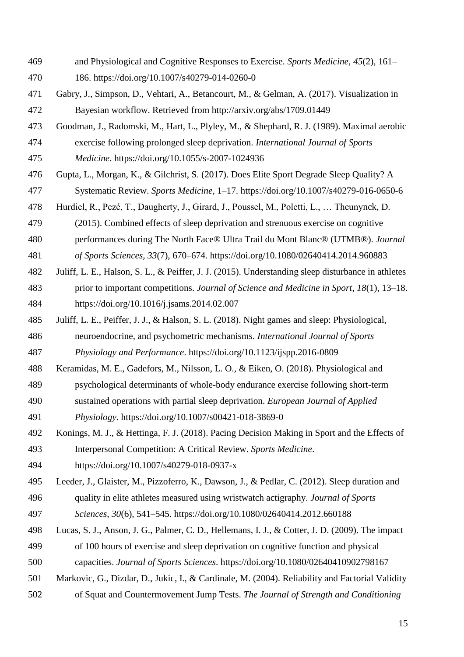and Physiological and Cognitive Responses to Exercise. *Sports Medicine*, *45*(2), 161–

186. https://doi.org/10.1007/s40279-014-0260-0

- Gabry, J., Simpson, D., Vehtari, A., Betancourt, M., & Gelman, A. (2017). Visualization in Bayesian workflow. Retrieved from http://arxiv.org/abs/1709.01449
- Goodman, J., Radomski, M., Hart, L., Plyley, M., & Shephard, R. J. (1989). Maximal aerobic exercise following prolonged sleep deprivation. *International Journal of Sports Medicine*. https://doi.org/10.1055/s-2007-1024936
- Gupta, L., Morgan, K., & Gilchrist, S. (2017). Does Elite Sport Degrade Sleep Quality? A
- Systematic Review. *Sports Medicine*, 1–17. https://doi.org/10.1007/s40279-016-0650-6
- Hurdiel, R., Pezé, T., Daugherty, J., Girard, J., Poussel, M., Poletti, L., … Theunynck, D.
- (2015). Combined effects of sleep deprivation and strenuous exercise on cognitive
- performances during The North Face® Ultra Trail du Mont Blanc® (UTMB®). *Journal*
- *of Sports Sciences*, *33*(7), 670–674. https://doi.org/10.1080/02640414.2014.960883
- Juliff, L. E., Halson, S. L., & Peiffer, J. J. (2015). Understanding sleep disturbance in athletes
- prior to important competitions. *Journal of Science and Medicine in Sport*, *18*(1), 13–18. https://doi.org/10.1016/j.jsams.2014.02.007
- Juliff, L. E., Peiffer, J. J., & Halson, S. L. (2018). Night games and sleep: Physiological,
- neuroendocrine, and psychometric mechanisms. *International Journal of Sports Physiology and Performance*. https://doi.org/10.1123/ijspp.2016-0809
- Keramidas, M. E., Gadefors, M., Nilsson, L. O., & Eiken, O. (2018). Physiological and
- psychological determinants of whole-body endurance exercise following short-term
- sustained operations with partial sleep deprivation. *European Journal of Applied Physiology*. https://doi.org/10.1007/s00421-018-3869-0
- Konings, M. J., & Hettinga, F. J. (2018). Pacing Decision Making in Sport and the Effects of Interpersonal Competition: A Critical Review. *Sports Medicine*.
- https://doi.org/10.1007/s40279-018-0937-x
- Leeder, J., Glaister, M., Pizzoferro, K., Dawson, J., & Pedlar, C. (2012). Sleep duration and quality in elite athletes measured using wristwatch actigraphy. *Journal of Sports*
- *Sciences*, *30*(6), 541–545. https://doi.org/10.1080/02640414.2012.660188
- Lucas, S. J., Anson, J. G., Palmer, C. D., Hellemans, I. J., & Cotter, J. D. (2009). The impact
- of 100 hours of exercise and sleep deprivation on cognitive function and physical
- capacities. *Journal of Sports Sciences*. https://doi.org/10.1080/02640410902798167
- Markovic, G., Dizdar, D., Jukic, I., & Cardinale, M. (2004). Reliability and Factorial Validity
- of Squat and Countermovement Jump Tests. *The Journal of Strength and Conditioning*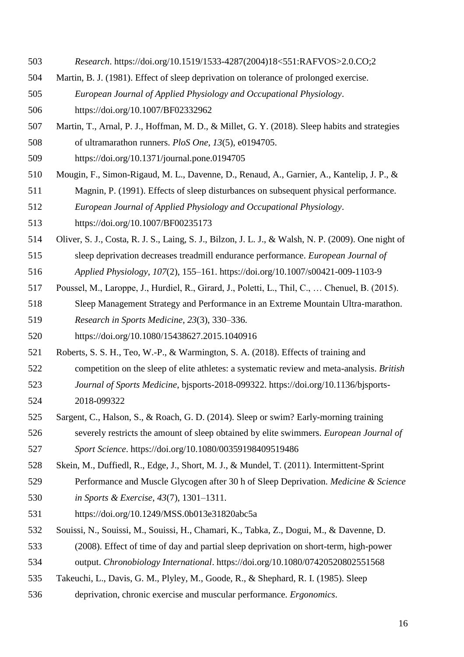- *Research*. https://doi.org/10.1519/1533-4287(2004)18<551:RAFVOS>2.0.CO;2
- Martin, B. J. (1981). Effect of sleep deprivation on tolerance of prolonged exercise.
- *European Journal of Applied Physiology and Occupational Physiology*.

https://doi.org/10.1007/BF02332962

- Martin, T., Arnal, P. J., Hoffman, M. D., & Millet, G. Y. (2018). Sleep habits and strategies of ultramarathon runners. *PloS One*, *13*(5), e0194705.
- https://doi.org/10.1371/journal.pone.0194705
- Mougin, F., Simon-Rigaud, M. L., Davenne, D., Renaud, A., Garnier, A., Kantelip, J. P., &
- Magnin, P. (1991). Effects of sleep disturbances on subsequent physical performance.
- *European Journal of Applied Physiology and Occupational Physiology*.

https://doi.org/10.1007/BF00235173

- Oliver, S. J., Costa, R. J. S., Laing, S. J., Bilzon, J. L. J., & Walsh, N. P. (2009). One night of
- sleep deprivation decreases treadmill endurance performance. *European Journal of*
- *Applied Physiology*, *107*(2), 155–161. https://doi.org/10.1007/s00421-009-1103-9
- Poussel, M., Laroppe, J., Hurdiel, R., Girard, J., Poletti, L., Thil, C., … Chenuel, B. (2015).
- Sleep Management Strategy and Performance in an Extreme Mountain Ultra-marathon. *Research in Sports Medicine*, *23*(3), 330–336.
- https://doi.org/10.1080/15438627.2015.1040916
- Roberts, S. S. H., Teo, W.-P., & Warmington, S. A. (2018). Effects of training and
- competition on the sleep of elite athletes: a systematic review and meta-analysis. *British*
- *Journal of Sports Medicine*, bjsports-2018-099322. https://doi.org/10.1136/bjsports-2018-099322
- Sargent, C., Halson, S., & Roach, G. D. (2014). Sleep or swim? Early-morning training severely restricts the amount of sleep obtained by elite swimmers. *European Journal of*
- *Sport Science*. https://doi.org/10.1080/00359198409519486
- Skein, M., Duffiedl, R., Edge, J., Short, M. J., & Mundel, T. (2011). Intermittent-Sprint
- Performance and Muscle Glycogen after 30 h of Sleep Deprivation. *Medicine & Science in Sports & Exercise*, *43*(7), 1301–1311.
- https://doi.org/10.1249/MSS.0b013e31820abc5a
- Souissi, N., Souissi, M., Souissi, H., Chamari, K., Tabka, Z., Dogui, M., & Davenne, D.
- (2008). Effect of time of day and partial sleep deprivation on short-term, high-power
- output. *Chronobiology International*. https://doi.org/10.1080/07420520802551568
- Takeuchi, L., Davis, G. M., Plyley, M., Goode, R., & Shephard, R. I. (1985). Sleep
- deprivation, chronic exercise and muscular performance. *Ergonomics*.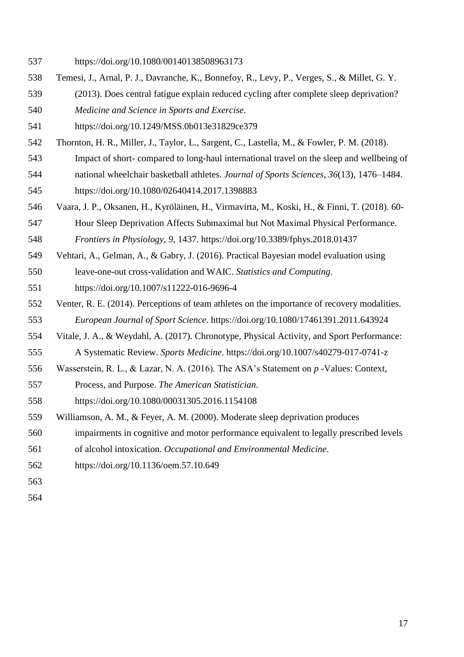- Temesi, J., Arnal, P. J., Davranche, K., Bonnefoy, R., Levy, P., Verges, S., & Millet, G. Y.
- (2013). Does central fatigue explain reduced cycling after complete sleep deprivation? *Medicine and Science in Sports and Exercise*.
- https://doi.org/10.1249/MSS.0b013e31829ce379
- Thornton, H. R., Miller, J., Taylor, L., Sargent, C., Lastella, M., & Fowler, P. M. (2018).
- Impact of short- compared to long-haul international travel on the sleep and wellbeing of national wheelchair basketball athletes. *Journal of Sports Sciences*, *36*(13), 1476–1484.

https://doi.org/10.1080/02640414.2017.1398883

- Vaara, J. P., Oksanen, H., Kyröläinen, H., Virmavirta, M., Koski, H., & Finni, T. (2018). 60-
- Hour Sleep Deprivation Affects Submaximal but Not Maximal Physical Performance.

*Frontiers in Physiology*, *9*, 1437. https://doi.org/10.3389/fphys.2018.01437

- Vehtari, A., Gelman, A., & Gabry, J. (2016). Practical Bayesian model evaluation using
- leave-one-out cross-validation and WAIC. *Statistics and Computing*.
- https://doi.org/10.1007/s11222-016-9696-4
- Venter, R. E. (2014). Perceptions of team athletes on the importance of recovery modalities. *European Journal of Sport Science*. https://doi.org/10.1080/17461391.2011.643924
- Vitale, J. A., & Weydahl, A. (2017). Chronotype, Physical Activity, and Sport Performance:
- A Systematic Review. *Sports Medicine*. https://doi.org/10.1007/s40279-017-0741-z
- Wasserstein, R. L., & Lazar, N. A. (2016). The ASA's Statement on *p* -Values: Context,
- Process, and Purpose. *The American Statistician*.
- https://doi.org/10.1080/00031305.2016.1154108
- Williamson, A. M., & Feyer, A. M. (2000). Moderate sleep deprivation produces
- impairments in cognitive and motor performance equivalent to legally prescribed levels
- of alcohol intoxication. *Occupational and Environmental Medicine*.
- https://doi.org/10.1136/oem.57.10.649
- 
- 

https://doi.org/10.1080/00140138508963173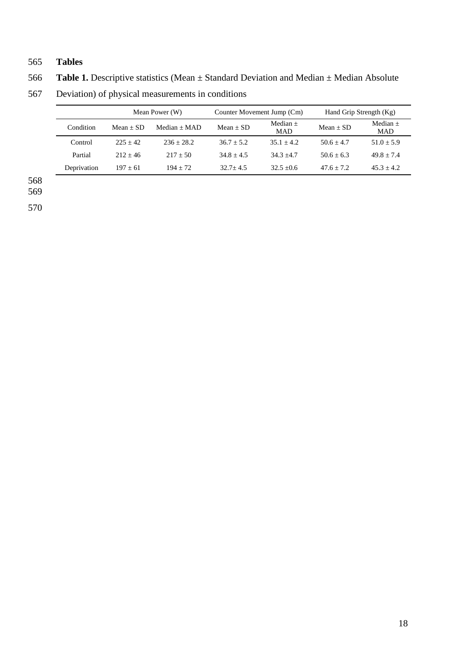## 565 **Tables**

566 **Table 1.** Descriptive statistics (Mean ± Standard Deviation and Median ± Median Absolute

| 567 | Deviation) of physical measurements in conditions |
|-----|---------------------------------------------------|
|-----|---------------------------------------------------|

|             |             | Mean Power (W) | Counter Movement Jump (Cm) |                          | Hand Grip Strength (Kg) |                          |  |
|-------------|-------------|----------------|----------------------------|--------------------------|-------------------------|--------------------------|--|
| Condition   | $Mean + SD$ | $Median + MAD$ | $Mean + SD$                | Median $+$<br><b>MAD</b> | $Mean + SD$             | Median $+$<br><b>MAD</b> |  |
| Control     | $225 + 42$  | $236 + 28.2$   | $36.7 + 5.2$               | $35.1 + 4.2$             | $50.6 + 4.7$            | $51.0 + 5.9$             |  |
| Partial     | $212 + 46$  | $217 + 50$     | $34.8 + 4.5$               | $34.3 + 4.7$             | $50.6 + 6.3$            | $49.8 + 7.4$             |  |
| Deprivation | $197 + 61$  | $194 + 72$     | $32.7 + 4.5$               | $32.5 + 0.6$             | $47.6 + 7.2$            | $45.3 + 4.2$             |  |
|             |             |                |                            |                          |                         |                          |  |

568 569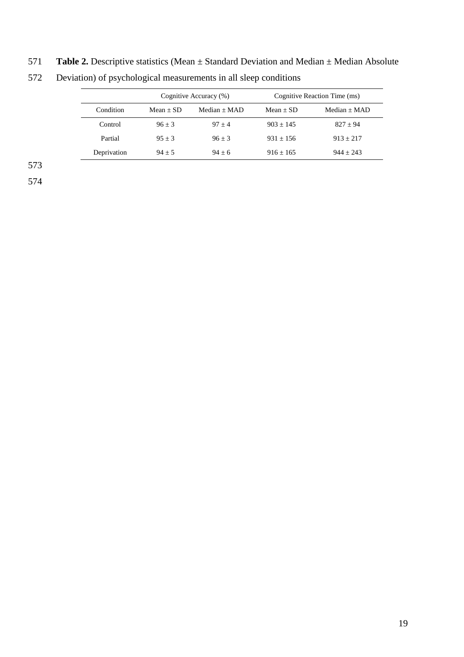## 571 **Table 2.** Descriptive statistics (Mean ± Standard Deviation and Median ± Median Absolute

|             |             | Cognitive Accuracy (%) | Cognitive Reaction Time (ms) |                |  |  |
|-------------|-------------|------------------------|------------------------------|----------------|--|--|
| Condition   | $Mean + SD$ | Median $+$ MAD         | $Mean + SD$                  | Median $+$ MAD |  |  |
| Control     | $96 + 3$    | $97 + 4$               | $903 + 145$                  | $827 + 94$     |  |  |
| Partial     | $95 + 3$    | $96 + 3$               | $931 + 156$                  | $913 + 217$    |  |  |
| Deprivation | $94 + 5$    | $94 + 6$               | $916 + 165$                  | $944 + 243$    |  |  |

572 Deviation) of psychological measurements in all sleep conditions

573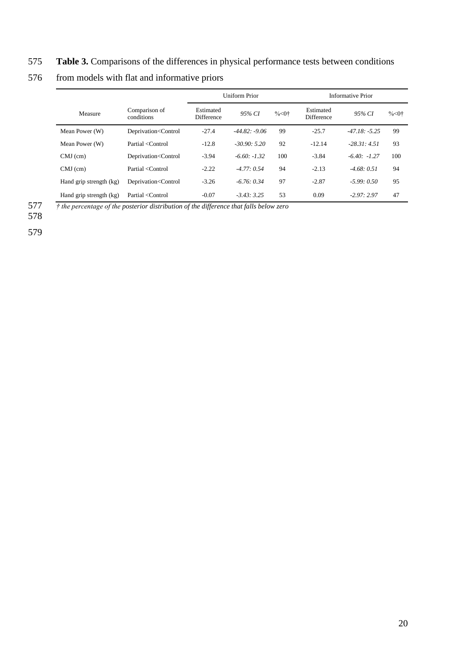## 575 **Table 3.** Comparisons of the differences in physical performance tests between conditions

|                         |                                                                                                                                                                                           | <b>Uniform Prior</b>           |                 |           | Informative Prior              |                 |                                |
|-------------------------|-------------------------------------------------------------------------------------------------------------------------------------------------------------------------------------------|--------------------------------|-----------------|-----------|--------------------------------|-----------------|--------------------------------|
| Measure                 | Comparison of<br>conditions                                                                                                                                                               | Estimated<br><b>Difference</b> | 95% CI          | $% < 0$ † | Estimated<br><b>Difference</b> | 95% CI          | $\frac{9}{6}$ < 0 <sup>+</sup> |
| Mean Power (W)          | Deprivation <control< td=""><td><math>-27.4</math></td><td><math>-44.82: -9.06</math></td><td>99</td><td><math>-25.7</math></td><td><math>-47.18: -5.25</math></td><td>99</td></control<> | $-27.4$                        | $-44.82: -9.06$ | 99        | $-25.7$                        | $-47.18: -5.25$ | 99                             |
| Mean Power (W)          | Partial <control< td=""><td><math>-12.8</math></td><td><math>-30.90:5.20</math></td><td>92</td><td><math>-12.14</math></td><td><math>-28.31:4.51</math></td><td>93</td></control<>        | $-12.8$                        | $-30.90:5.20$   | 92        | $-12.14$                       | $-28.31:4.51$   | 93                             |
| $CMJ$ (cm)              | Deprivation <control< td=""><td><math>-3.94</math></td><td><math>-6.60: -1.32</math></td><td>100</td><td><math>-3.84</math></td><td><math>-6.40: -1.27</math></td><td>100</td></control<> | $-3.94$                        | $-6.60: -1.32$  | 100       | $-3.84$                        | $-6.40: -1.27$  | 100                            |
| $CMJ$ (cm)              | Partial <control< td=""><td><math>-2.22</math></td><td><math>-4.77:0.54</math></td><td>94</td><td><math>-2.13</math></td><td><math>-4.68:0.51</math></td><td>94</td></control<>           | $-2.22$                        | $-4.77:0.54$    | 94        | $-2.13$                        | $-4.68:0.51$    | 94                             |
| Hand grip strength (kg) | Deprivation <control< td=""><td><math>-3.26</math></td><td><math>-6.76:0.34</math></td><td>97</td><td><math>-2.87</math></td><td><math>-5.99:0.50</math></td><td>95</td></control<>       | $-3.26$                        | $-6.76:0.34$    | 97        | $-2.87$                        | $-5.99:0.50$    | 95                             |
| Hand grip strength (kg) | Partial <control< td=""><td><math>-0.07</math></td><td><math>-3.43:3.25</math></td><td>53</td><td>0.09</td><td><math>-2.97:2.97</math></td><td>47</td></control<>                         | $-0.07$                        | $-3.43:3.25$    | 53        | 0.09                           | $-2.97:2.97$    | 47                             |

## 576 from models with flat and informative priors

577 *† the percentage of the posterior distribution of the difference that falls below zero*

578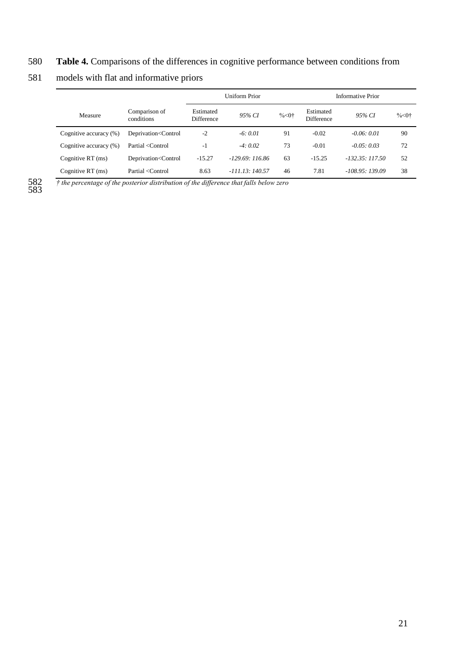## 580 **Table 4.** Comparisons of the differences in cognitive performance between conditions from

## 581 models with flat and informative priors

|                        |                                                                                                                                                                                                     | Uniform Prior                  |                  |                                | Informative Prior       |                        |                      |  |
|------------------------|-----------------------------------------------------------------------------------------------------------------------------------------------------------------------------------------------------|--------------------------------|------------------|--------------------------------|-------------------------|------------------------|----------------------|--|
| Measure                | Comparison of<br>conditions                                                                                                                                                                         | Estimated<br><b>Difference</b> | 95% CI           | $\frac{9}{6}$ < 0 <sup>+</sup> | Estimated<br>Difference | 95% CI                 | $%$ < 0 <sup>+</sup> |  |
| Cognitive accuracy (%) | Deprivation <control< td=""><td><math>-2</math></td><td><math>-6:0.01</math></td><td>91</td><td><math>-0.02</math></td><td><math>-0.06:0.01</math></td><td>90</td></control<>                       | $-2$                           | $-6:0.01$        | 91                             | $-0.02$                 | $-0.06:0.01$           | 90                   |  |
| Cognitive accuracy (%) | Partial <control< td=""><td>-1</td><td><math>-4:0.02</math></td><td>73</td><td><math>-0.01</math></td><td><math>-0.05:0.03</math></td><td>72</td></control<>                                        | -1                             | $-4:0.02$        | 73                             | $-0.01$                 | $-0.05:0.03$           | 72                   |  |
| Cognitive RT (ms)      | Deprivation <control< td=""><td><math>-15.27</math></td><td><math>-129.69:116.86</math></td><td>63</td><td><math>-15.25</math></td><td><math>-132.35 \cdot 117.50</math></td><td>52</td></control<> | $-15.27$                       | $-129.69:116.86$ | 63                             | $-15.25$                | $-132.35 \cdot 117.50$ | 52                   |  |
| Cognitive $RT$ (ms)    | Partial <control< td=""><td>8.63</td><td><math>-111.13:140.57</math></td><td>46</td><td>7.81</td><td><math>-108.95:139.09</math></td><td>38</td></control<>                                         | 8.63                           | $-111.13:140.57$ | 46                             | 7.81                    | $-108.95:139.09$       | 38                   |  |

582 *† the percentage of the posterior distribution of the difference that falls below zero*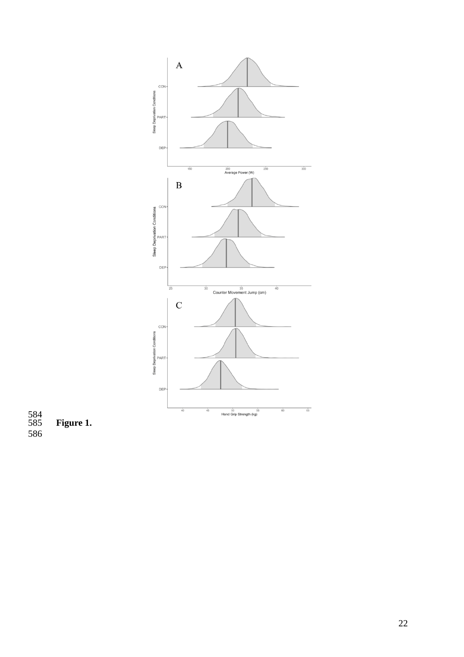

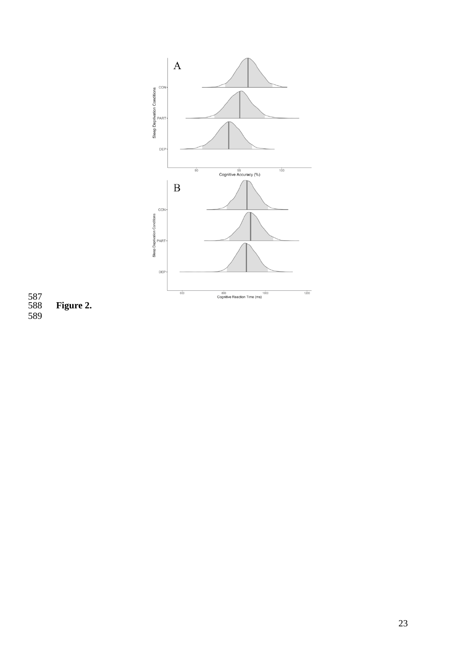

 Figure 2.